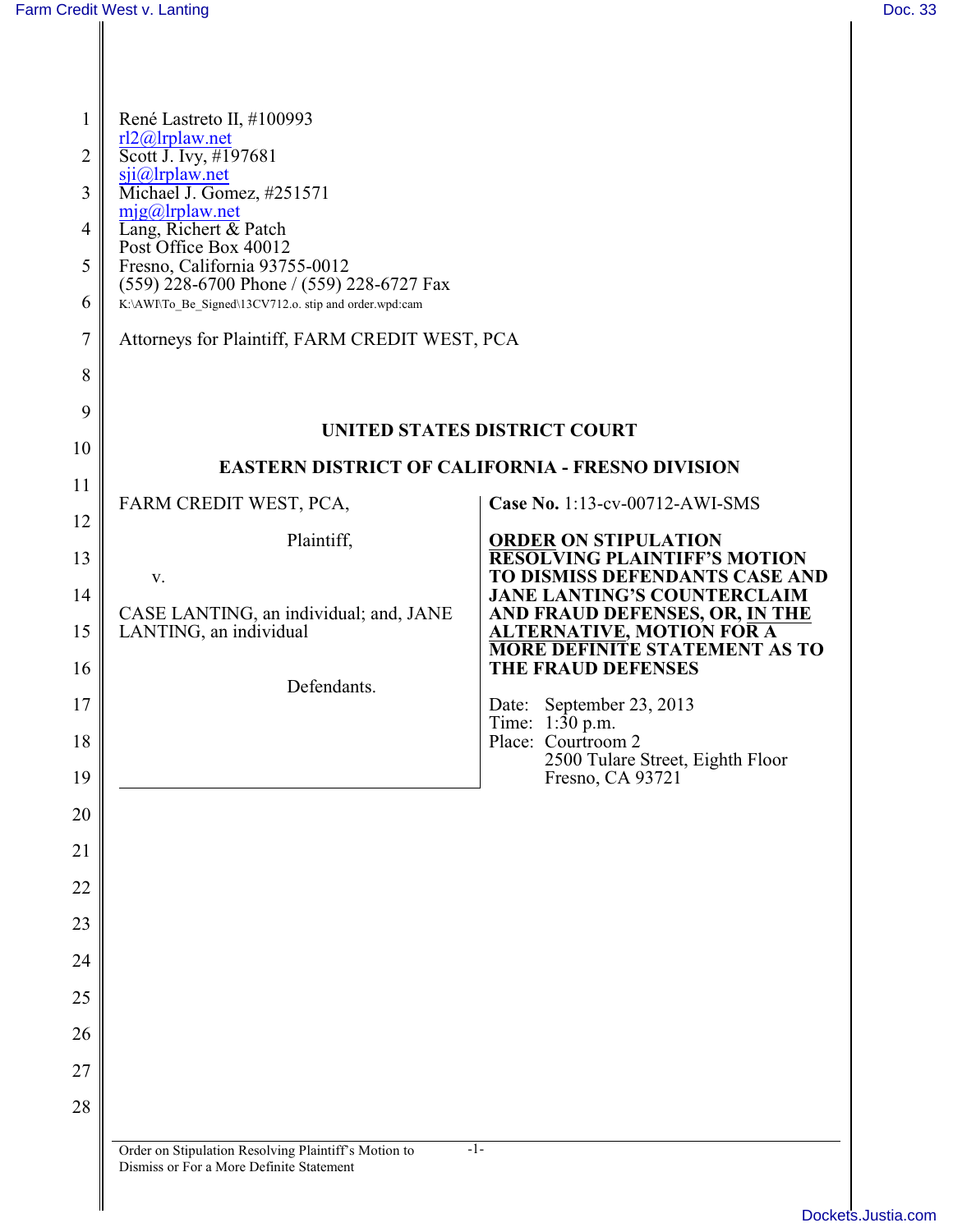| $\mathbf{1}$<br>$\overline{2}$<br>3<br>4<br>5<br>6<br>7<br>8 | René Lastreto II, #100993<br>$r12@$ lrplaw.net<br>Scott J. Ivy, #197681<br>$sji@$ lrplaw.net<br>Michael J. Gomez, #251571<br>$m$ jg@lrplaw.net<br>Lang, Richert & Patch<br>Post Office Box 40012<br>Fresno, California 93755-0012<br>(559) 228-6700 Phone / (559) 228-6727 Fax<br>K:\AWI\To_Be_Signed\13CV712.o. stip and order.wpd:cam<br>Attorneys for Plaintiff, FARM CREDIT WEST, PCA |                                                                            |
|--------------------------------------------------------------|-------------------------------------------------------------------------------------------------------------------------------------------------------------------------------------------------------------------------------------------------------------------------------------------------------------------------------------------------------------------------------------------|----------------------------------------------------------------------------|
| 9                                                            |                                                                                                                                                                                                                                                                                                                                                                                           |                                                                            |
| 10                                                           | UNITED STATES DISTRICT COURT<br><b>EASTERN DISTRICT OF CALIFORNIA - FRESNO DIVISION</b>                                                                                                                                                                                                                                                                                                   |                                                                            |
| 11                                                           |                                                                                                                                                                                                                                                                                                                                                                                           | Case No. 1:13-cv-00712-AWI-SMS                                             |
| 12                                                           | FARM CREDIT WEST, PCA,<br>Plaintiff,                                                                                                                                                                                                                                                                                                                                                      | <b>ORDER ON STIPULATION</b>                                                |
| 13                                                           | V.                                                                                                                                                                                                                                                                                                                                                                                        | <b>RESOLVING PLAINTIFF'S MOTION</b><br>TO DISMISS DEFENDANTS CASE AND      |
| 14                                                           | CASE LANTING, an individual; and, JANE                                                                                                                                                                                                                                                                                                                                                    | <b>JANE LANTING'S COUNTERCLAIM</b><br>AND FRAUD DEFENSES, OR, IN THE       |
| 15                                                           | LANTING, an individual                                                                                                                                                                                                                                                                                                                                                                    | <b>ALTERNATIVE, MOTION FOR A</b><br><b>MORE DEFINITE STATEMENT AS TO</b>   |
| 16                                                           | Defendants.                                                                                                                                                                                                                                                                                                                                                                               | THE FRAUD DEFENSES                                                         |
| 17                                                           |                                                                                                                                                                                                                                                                                                                                                                                           | Date: September 23, 2013<br>Time: $1:30$ p.m.                              |
| 18<br>19                                                     |                                                                                                                                                                                                                                                                                                                                                                                           | Place: Courtroom 2<br>2500 Tulare Street, Eighth Floor<br>Fresno, CA 93721 |
| 20                                                           |                                                                                                                                                                                                                                                                                                                                                                                           |                                                                            |
| 21                                                           |                                                                                                                                                                                                                                                                                                                                                                                           |                                                                            |
| 22                                                           |                                                                                                                                                                                                                                                                                                                                                                                           |                                                                            |
| 23                                                           |                                                                                                                                                                                                                                                                                                                                                                                           |                                                                            |
| 24                                                           |                                                                                                                                                                                                                                                                                                                                                                                           |                                                                            |
| 25                                                           |                                                                                                                                                                                                                                                                                                                                                                                           |                                                                            |
| 26                                                           |                                                                                                                                                                                                                                                                                                                                                                                           |                                                                            |
| 27                                                           |                                                                                                                                                                                                                                                                                                                                                                                           |                                                                            |
| 28                                                           |                                                                                                                                                                                                                                                                                                                                                                                           |                                                                            |
|                                                              |                                                                                                                                                                                                                                                                                                                                                                                           |                                                                            |